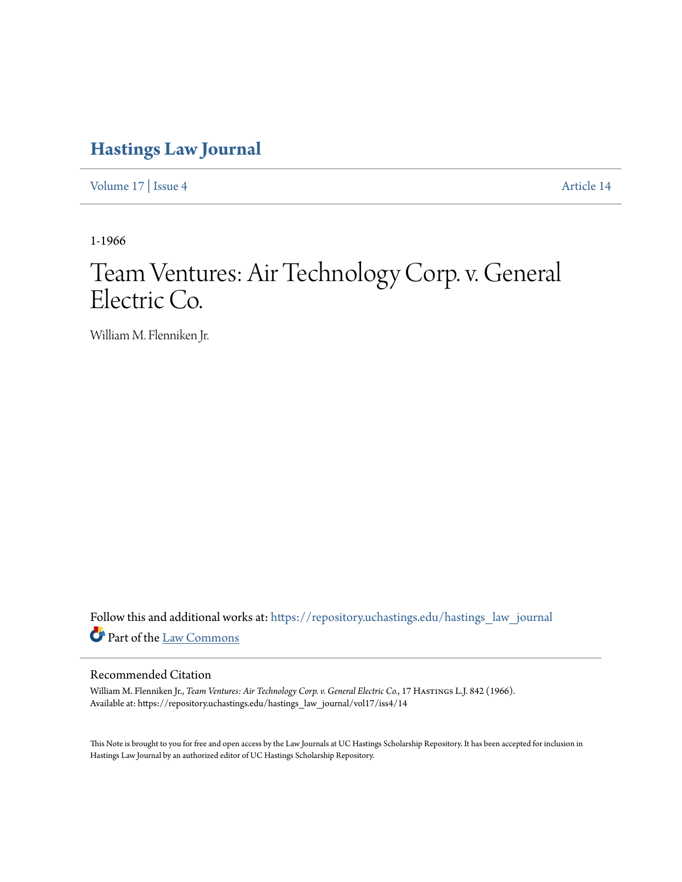# **[Hastings Law Journal](https://repository.uchastings.edu/hastings_law_journal?utm_source=repository.uchastings.edu%2Fhastings_law_journal%2Fvol17%2Fiss4%2F14&utm_medium=PDF&utm_campaign=PDFCoverPages)**

[Volume 17](https://repository.uchastings.edu/hastings_law_journal/vol17?utm_source=repository.uchastings.edu%2Fhastings_law_journal%2Fvol17%2Fiss4%2F14&utm_medium=PDF&utm_campaign=PDFCoverPages) | [Issue 4](https://repository.uchastings.edu/hastings_law_journal/vol17/iss4?utm_source=repository.uchastings.edu%2Fhastings_law_journal%2Fvol17%2Fiss4%2F14&utm_medium=PDF&utm_campaign=PDFCoverPages) [Article 14](https://repository.uchastings.edu/hastings_law_journal/vol17/iss4/14?utm_source=repository.uchastings.edu%2Fhastings_law_journal%2Fvol17%2Fiss4%2F14&utm_medium=PDF&utm_campaign=PDFCoverPages)

1-1966

# Team Ventures: Air Technology Corp. v. General Electric Co.

William M. Flenniken Jr.

Follow this and additional works at: [https://repository.uchastings.edu/hastings\\_law\\_journal](https://repository.uchastings.edu/hastings_law_journal?utm_source=repository.uchastings.edu%2Fhastings_law_journal%2Fvol17%2Fiss4%2F14&utm_medium=PDF&utm_campaign=PDFCoverPages) Part of the [Law Commons](http://network.bepress.com/hgg/discipline/578?utm_source=repository.uchastings.edu%2Fhastings_law_journal%2Fvol17%2Fiss4%2F14&utm_medium=PDF&utm_campaign=PDFCoverPages)

## Recommended Citation

William M. Flenniken Jr., *Team Ventures: Air Technology Corp. v. General Electric Co.*, 17 HASTINGS L.J. 842 (1966). Available at: https://repository.uchastings.edu/hastings\_law\_journal/vol17/iss4/14

This Note is brought to you for free and open access by the Law Journals at UC Hastings Scholarship Repository. It has been accepted for inclusion in Hastings Law Journal by an authorized editor of UC Hastings Scholarship Repository.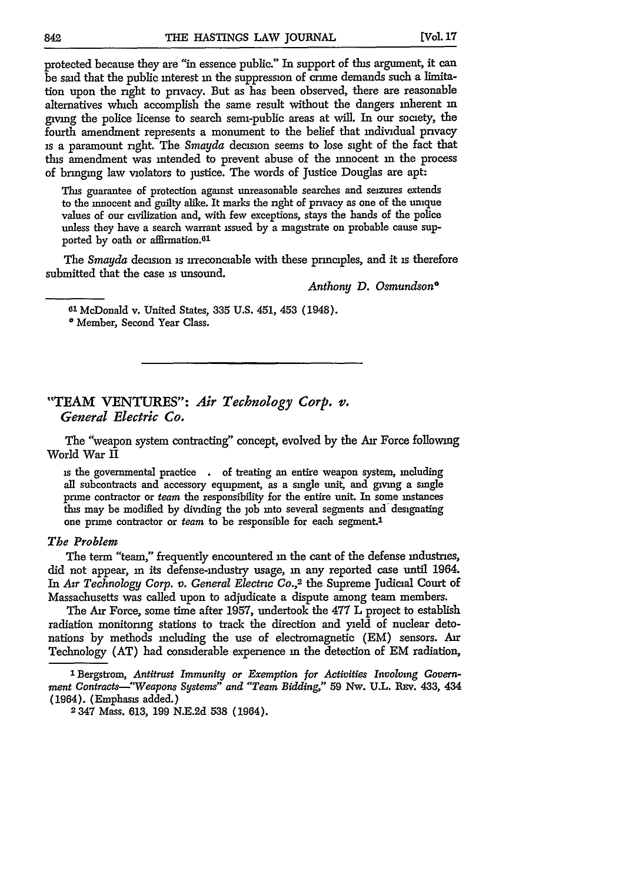protected because they are "in essence public." In support of this argument, it can be said that the public interest **in** the suppression of cnime demands such a limitation upon the right to privacy. But as has been observed, there are reasonable alternatives which accomplish the same result without the dangers inherent m giving the police license to search semi-public areas at will. In our society, the fourth amendment represents a monument to the belief that individual privacy is a paramount right. The *Smayda* decision seems to lose sight of the fact that this amendment was intended to prevent abuse of the innocent in the process of bringing law violators to justice. The words of Justice Douglas are apt:

This guarantee of protection against unreasonable searches and seizures extends to the innocent and guilty alike. It marks the right of privacy as one of the unique values of our civilization and, with few exceptions, stays the hands of the police unless they have a search warrant issued **by** a magistrate on probable cause supported **by** oath or affirmation. <sup>61</sup>

The *Smayda* decision is irreconciable with these principles, and it is therefore submitted that the case **is** unsound.

*Anthony D. Osmundson\**

**<sup>61</sup>**McDonald v. United States, **335 U.S.** 451, 453 (1948).

\* Member, Second Year Class.

### "TEAM VENTURES": *Air Technology Corp. v. General Electric Co.*

The "weapon system contracting" concept, evolved by the Air Force following World War II

is the governmental practice **.** of treating an entire weapon system, including all subcontracts and accessory equipment, as a single unit, and giving a single prime contractor or *team* the responsibility for the entire unit. In some instances this may be modified by dividing the **job** into several segments and' designating one prime contractor or *team* to be responsible for each segment.'

#### *The Problem*

The term "team," frequently encountered in the cant of the defense industries, did not appear, in its defense-industry usage, **in** any reported case until 1964. In *Air Technology Corp. v. General Electrc* **Co.,2** the Supreme Judicial Court of Massachusetts was called upon to adjudicate a dispute among team members.

The Air Force, some time after 1957, undertook the 477 L project to establish radiation monitoring stations to track the direction and yield of nuclear detonations by methods including the use of electromagnetic (EM) sensors. Air Technology (AT) had considerable experience in the detection of EM radiation,

<sup>&</sup>lt;sup>1</sup> Bergstrom, Antitrust Immunity or Exemption for Activities Involving Govern*ment Contracts--Weapons Systems" and "Team Bidding,"* 59 Nw. U.L. **REv.** 433, 434 (1964). (Emphasis added.)

<sup>2347</sup> Mass. **613,** 199 N.E.2d 538 (1964).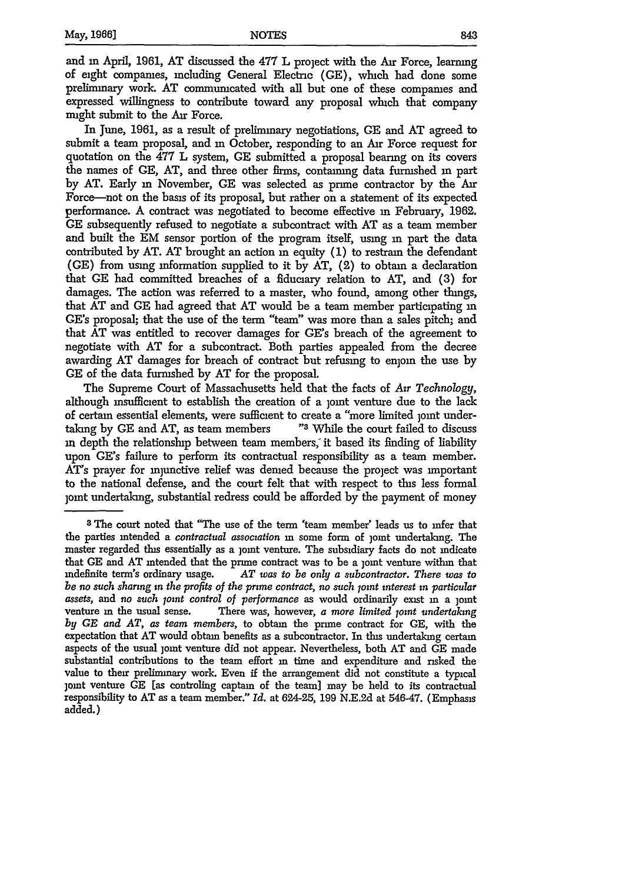and **in** April, 1961, AT discussed the 477 L project with the Air Force, learning of eight companies, including General Electric (GE), which had done some preliminary work. AT communicated with all but one of these companies and expressed willingness to contribute toward any proposal which that company might submit to the Air Force.

In June, 1961, as a result of preliminary negotiations, GE and **AT** agreed to submit a team proposal, and **in** October, responding to an Air Force request for quotation on the 477 L system, **GE** submitted a proposal bearing on its covers the names of **GE,** AT, and three other firms, containing data furnished **in** part by AT. Early in November, GE was selected as prime contractor by the Air Force-not on the basis of its proposal, but rather on a statement of its expected performance. A contract was negotiated to become effective **in** February, 1962. **GE** subsequently refused to negotiate a subcontract with AT as a team member and built the EM sensor portion of the program itself, using **in** part the data contributed by AT. AT brought an action **in** equity (1) to restrain the defendant (GE) from using information supplied to it by  $AT$ , (2) to obtain a declaration that **GE** had committed breaches of a fiduciary relation to AT, and (3) for damages. The action was referred to a master, who found, among other things, that AT and **GE** had agreed that AT would be a team member participating **in** GE's proposal; that the use of the term "team" was more than a sales pitch; and that AT was entitled to recover damages for GE's breach of the agreement to negotiate with AT for a subcontract. Both parties appealed from the decree awarding AT damages for breach of contract but refusing to enjoin the use by GE of the data furnished by AT for the proposal.

The Supreme Court of Massachusetts held that the facts of *Air Technology,* although insufficient to establish the creation of a joint venture due to the lack of certain essential elements, were sufficient to create a "more limited joint undertaking by GE and AT, as team members **"3** While the court failed to discuss in depth the relationship between team members, it based its finding of liability upon GE's failure to perform its contractual responsibility as a team member. AT's prayer for injunctive relief was denied because the project was important to the national defense, and the court felt that with respect to this less formal joint undertaking, substantial redress could be afforded by the payment of money

*<sup>3</sup>* The court noted that "The use of the term 'team member' leads us to infer that the parties intended a *contractual association* in some form of joint undertaking. The master regarded this essentially as a joint venture. The subsidiary facts do not indicate that GE and AT intended that the prime contract was to be a joint venture within that indefinite term's ordinary usage. *AT was to be only a subcontractor. There was to be no such sharing in the profits of the prime contract, no such joint interest in particular* assets, and no such joint control of performance as would ordinarily exist in a joint venture **in** the usual sense. There was, however, *a more limited joint undertaking by GE and AT, as team members,* to obtain the prime contract for **GE,** with the expectation that AT would obtain benefits as a subcontractor. In this undertaking certain aspects of the usual joint venture did not appear. Nevertheless, both AT and GE made substantial contributions to the team effort in time and expenditure and risked the value to their preliminary work. Even if the arrangement did not constitute a typical joint venture **GE** (as controling captain of the team] may be held to its contractual responsibility to AT as a team member." *Id.* at 624-25, 199 N.E.2d at 546-47. (Emphasis added.)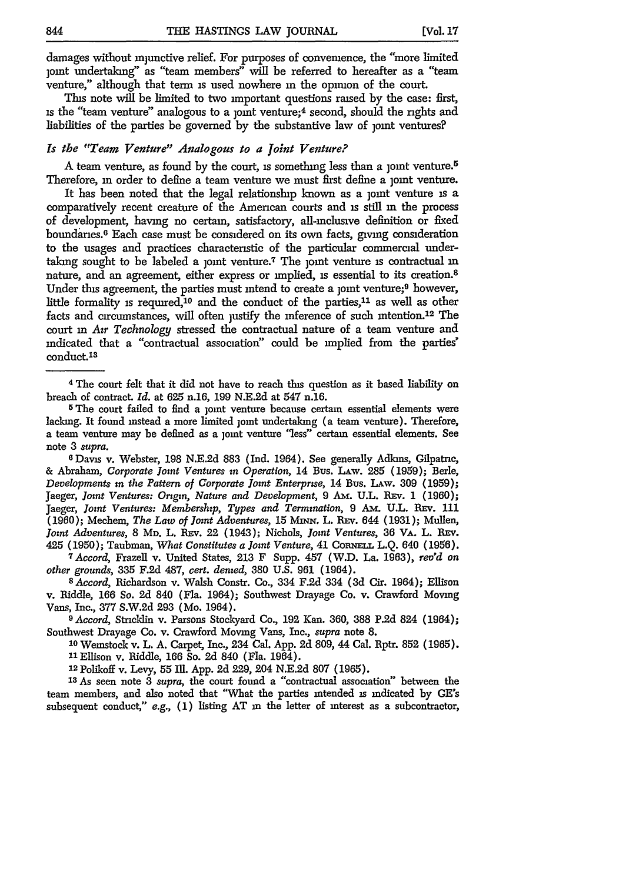damages without injunctive relief. For purposes of convenience, the "more limited joint undertaking" as "team members" will be referred to hereafter as a "team venture," although that term is used nowhere in the opinion of the court.

This note will be limited to two important questions raised by the case: first, is the "team venture" analogous to a joint venture;<sup>4</sup> second, should the rights and liabilities of the parties be governed by the substantive law of joint ventures?

#### *Is the* "Team *Venture" Analogous to a joint Venture?*

A team venture, as found by the court, is something less than a joint venture.<sup>5</sup> Therefore, in order to define a team venture we must first define a joint venture.

It has been noted that the legal relationship known as a joint venture is a comparatively recent creature of the American courts and is still **in** the process of development, having no certain, satisfactory, all-inclusive definition or fixed boundarnes.6 Each case must be considered on its own facts, giving consideration to the usages and practices characteristic of the particular commercial undertaking sought to be labeled a joint venture.<sup>7</sup> The joint venture is contractual in nature, and an agreement, either express or implied, **is** essential to its creation.<sup>8</sup> Under this agreement, the parties must intend to create a joint venture;<sup>9</sup> however, little formality is required,  $10$  and the conduct of the parties,  $11$  as well as other facts and circumstances, will often justify the inference of such intention.<sup>12</sup> The court in *Air Technology* stressed the contractual nature of a team venture and indicated that a "contractual association" could be implied from the parties' conduct.18

<sup>5</sup>The court failed to find a joint venture because certain essential elements were lacking. It found instead a more limited joint undertaking (a team venture). Therefore, a team venture may be defined as a joint venture "less" certain essential elements. See note 3 *supra.*

**6** Davis v. Webster, 198 N.E.2d 883 (Ind. 1964). See generally Adkins, Gilpatnc, & Abraham, *Corporate Jont Ventures in Operation,* 14 Bus. LAw. 285 (1959); Berle, *Developments in the Pattern of Corporate Joint Enterprise,* 14 Bus. LAw. 309 (1959); Jaeger, *Joint Ventures: Origin, Nature and Development,* 9 Am. U.L. REv. 1 (1960); Jaeger, *Joint Ventures: Membership, Types and Termination,* 9 **Am.** U.L. REv. **111** (1960); Mechem, *The Law of Joint Adventures,* 15 MnxN. L. **REv.** 644 **(1931);** Mullen, *Joint Adventures,* 8 **MD.** L. **REv.** 22 (1943); Nichols, *Joint Ventures,* **36** VA. L. **REv.** 425 (1950); Taubman, *What Constitutes a Joint Venture,* 41 CoiNELL L.Q. 640 (1956). *<sup>7</sup> Accord,* Frazell v. United States, **213** F Supp. 457 (W.D. La. **1963),** *reo'd on*

*other grounds,* 335 F.2d 487, cert. *denied,* 380 U.S. 961 (1964). *<sup>8</sup>Accord,* Richardson v. Walsh Constr. Co., 334 F.2d 334 **(3d** Cir. 1964); Ellison

v. Riddle, 166 *So.* 2d 840 (Fla. 1964); Southwest Drayage Co. v. Crawford Moving Vans, Inc., 377 S.W.2d **293** (Mo. 1964).

*<sup>9</sup> Accord,* Stricklin v. Parsons Stockyard Co., **192** Kan. **360, 388 P.2d** 824 (1964); Southwest Drayage Co. v. Crawford Moving Vans, Inc., *supra* note **8.**

**<sup>10</sup>**Weinstock v. L. A. Carpet, Inc., 234 Cal. App. 2d 809, *44* Cal. Rptr. **852** (1965). **1** Ellison v. Riddle, 166 So. 2d 840 (Fla. 1964).

**<sup>22</sup>**Polikoff v. Levy, 55 Ill. App. 2d 229, 204 N.E.2d 807 (1965).

**<sup>13</sup>**As seen note **3** *supra,* the court found a "contractual association" between the team members, and also noted that "What the parties intended is indicated **by** GE's subsequent conduct," *e.g.,* **(1)** listing **AT** in the letter of interest as a subcontractor,

<sup>4</sup>The court felt that it did not have to reach this question as it based liability on breach of contract. *Id.* at 625 n.16, 199 N.E.2d at 547 n.16.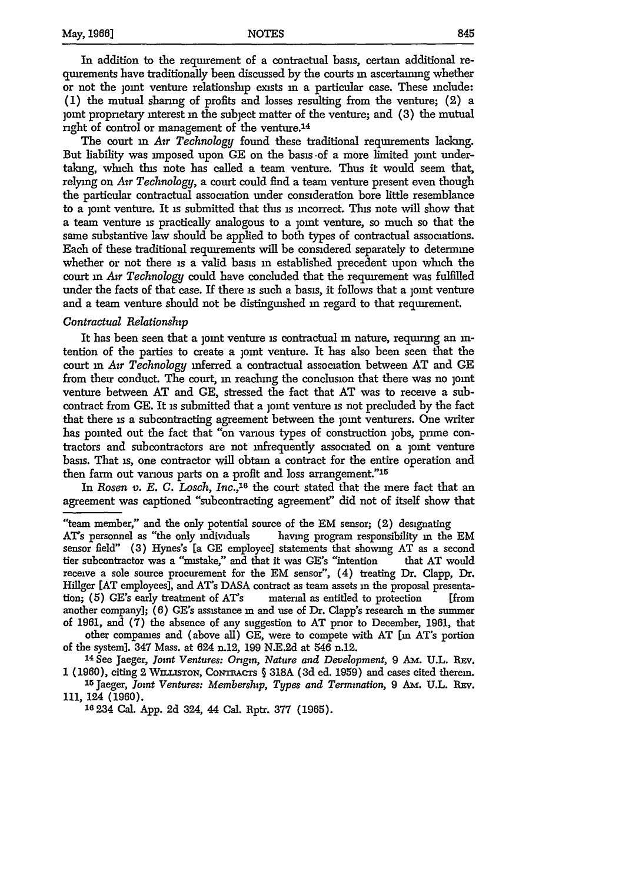In addition to the requirement of a contractual basis, certain additional requirements have traditionally been discussed by the courts **in** ascertaining whether or not the joint venture relationslip exists **in** a particular case. These include: (1) the mutual sharing of profits and losses resulting from the venture; (2) a joint proprietary interest in the subject matter of the venture; and (3) the mutual right of control or management of the venture.<sup>14</sup>

The court **in** *Air Technology* found these traditional requirements lacking. But liability was imposed upon GE on the basis of a more limited joint undertaking, which this note has called a team venture. Thus it would seem that, relymg on *Air Technology,* a court could find a team venture present even though the particular contractual association under consideration bore little resemblance to a joint venture. It **is** submitted that this **is** incorrect. This note will show that a team venture is practically analogous to a joint venture, so much so that the same substantive law should be applied to both types **of** contractual associations. Each of these traditional requirements will be considered separately to determine whether or not there **is** a valid basis **in** established precedent upon wnch the court in *Air Technology* could have concluded that the requirement was fulfilled under the facts of that case. If there **is** such a basis, it follows that a joint venture and a team venture should not be distinguished **in** regard to that requirement.

#### *Contractual Relationship*

It has been seen that a joint venture is contractual in nature, requiring an intention of the parties to create a joint venture. It has also been seen that the court **in** *Air Technology* inferred a contractual association between AT and GE from their conduct. The court, in reaching the conclusion that there was no joint venture between AT and GE, stressed the fact that AT was to receive a subcontract from GE. It is submitted that a joint venture is not precluded by the fact that there **is** a subcontracting agreement between the joint venturers. One writer has pointed out the fact that "on various types of construction jobs, prime contractors and subcontractors are not infrequently associated on a joint venture basis. That **is,** one contractor will obtain a contract for the entire operation and then farm out various parts on a profit and loss arrangement."1<sup>5</sup>

In *Rosen v. E. C. Losch, Inc.*,<sup>16</sup> the court stated that the mere fact that an agreement was captioned "subcontracting agreement" did not of itself show that

<sup>&</sup>quot;team member," and the only potential source of the EM sensor; (2) designating AT's personnel as "the only individuals having program responsibility in the EM sensor field" (3) Hynes's [a GE employee] statements that showing AT as a second tier subcontractor was a "mistake," and that it was GE's "intention that AT would receive a sole source procurement for the EM sensor", (4) treating Dr. Clapp, Dr. Hillger [AT employees], and AT's DASA contract as team assets in the proposal presentation; (5) GE's early treatment of AT's material as entitled to protection [from another company]; **(6)** GE's assistance **in** and use of Dr. Clapp's research in the summer of 1961, and **(7)** the absence of any suggestion to AT prior to December, **1961,** that other companies and (above all) **GE,** were to compete with AT [m AT's portion of the system]. 347 Mass. at 624 n.12, 199 N.E.2d at 546 n.12.

**<sup>14</sup>**See Jaeger, *Joint Ventures: Origin, Nature and Development,* **9** *Am..* U.L. REv. 1 (1960), citing 2 WILLISTON, CONTRACTS § 318A (3d ed. 1959) and cases cited therem.

**<sup>15</sup>** Jaeger, *Joint Ventures: Membership, Types and Termination,* 9 Am. **U.L.** REV. **111,** 124 **(1960).**

**<sup>16</sup>** 234 Cal. **App. 2d** 324, 44 Cal. **Rptr. 377** (1965).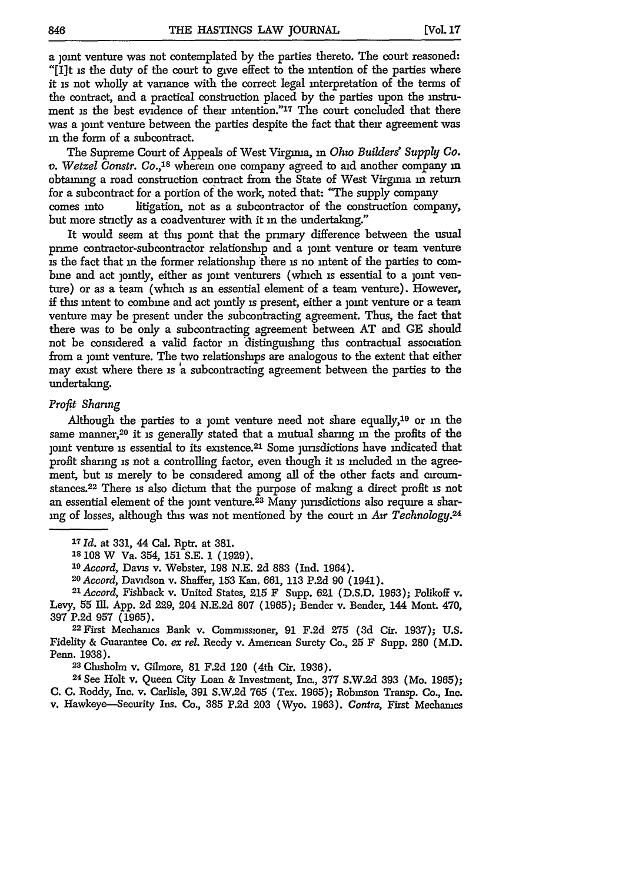a joint venture was not contemplated by the parties thereto. The court reasoned: "[I]t is the duty of the court to give effect to the intention of the parties where it is not wholly at variance with the correct legal interpretation of the terms of the contract, and a practical construction placed by the parties upon the instrument is the best evidence of their intention."<sup>17</sup> The court concluded that there was a joint venture between the parties despite the fact that their agreement was **in** the form of a subcontract.

The Supreme Court of Appeals of West Virginia, **in** *Ohio Builders' Supply Co. v. Wetzel Constr. Co.,18* wherein one company agreed to aid another company in obtaining a road construction contract from the State of West Virginia in return for a subcontract for a portion of the work, noted that: "The supply company comes into litigation, not as a subcontractor of the construction company, but more strictly as a coadventurer with it in the undertaking."

It would seem at this point that the primary difference between the usual prime contractor-subcontractor relationship and a joint venture or team venture is the fact that **in** the former relationship there is no intent of the parties to combine and act jointly, either as joint venturers (which is essential to a joint venture) or as a team (which **is** an essential element of a team venture). However, if this intent to combine and act jointly is present, either a joint venture or a team venture may be present under the subcontracting agreement. Thus, the fact that there was to be only a subcontracting agreement between AT and GE should not be considered a valid factor in distinguishing this contractual association from a joint venture. The two relationships are analogous to the extent that either may exist where there is a subcontracting agreement between the parties to the undertaking.

#### *Profit Sharing*

Although the parties to a joint venture need not share equally,<sup>19</sup> or in the same manner,<sup>20</sup> it is generally stated that a mutual sharing in the profits of the joint venture is essential to its existence.<sup>21</sup> Some jurisdictions have indicated that profit sharing is not a controlling factor, even though it **is** included **in** the agreement, but is merely to be considered among all of the other facts and circumstances.22 There is also dictum that the purpose of malang a direct profit **is** not an essential element of the joint venture.<sup>23</sup> Many jurisdictions also require a sharing of losses, although this was not mentioned by the court in *Air Technology.<sup>24</sup>*

**<sup>17</sup>***Id.* at 331, 44 Cal. Rptr. at 381.

**18** 108 W Va. 354, 151 S.E. 1 (1929).

*<sup>19</sup>Accord,* Davis v. Webster, 198 N.E. **2d** 883 (Ind. 1964).

<sup>20</sup> Accord, Davidson v. Shaffer, 153 Kan. 661, 113 P.2d 90 (1941).<br><sup>21</sup> Accord, Fishback v. United States, 215 F Supp. 621 (D.S.D. 1963); Polikoff v. Levy, 55 IMI. App. 2d 229, 204 N.E.2d 807 (1965); Bender v. Bender, 144 Mont. 470,

397 P.2d 957 (1965). <sup>22</sup> First Mechanics Bank v. Commissioner, 91 F.2d **275** (3d Cir. 1937); U.S. Fidelity & Guarantee Co. *ex rel.* Reedy v. American Surety Co., **25** F Supp. **280** (M.D. Penn. 1938).

2 Chisholm v. Gilmore, 81 F.2d 120 (4th Cir. 1936).

24 See Holt v. Queen City Loan & Investment, Inc., 377 S.W.2d 393 (Mo. 1965); **C. C.** Roddy, Inc. v. Carlisle, 391 S.W.2d 765 (Tex. 1965); Robinson Transp. Co., Inc. v. Hawkeye-Security Ins. Co., 385 P.2d **203** (Wyo. 1963). *Contre,* First Mechanics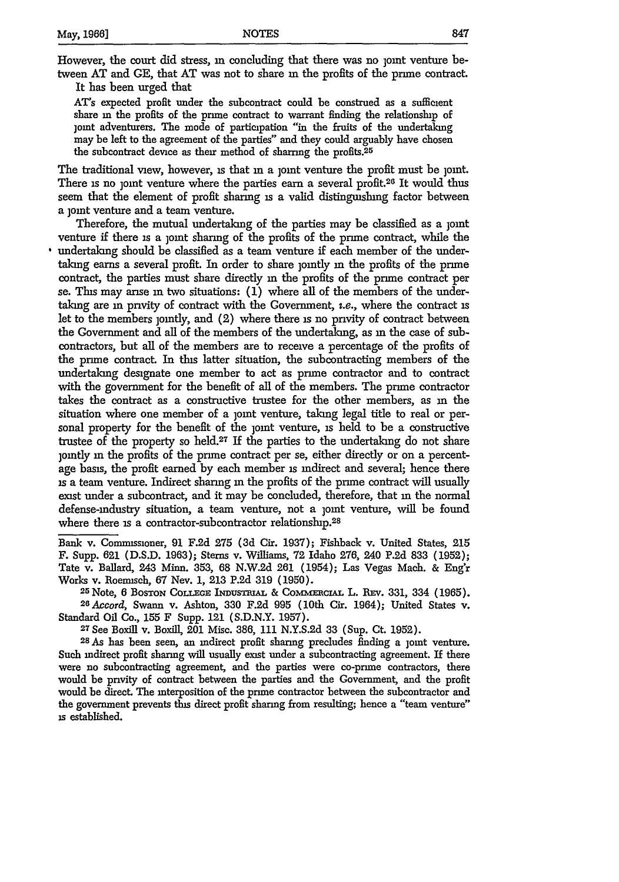However, the court did stress, in concluding that there was no joint venture between AT and *GE,* that AT was not to share **in** the profits of the prume contract.

It has been urged that

AT's expected profit under the subcontract could be construed as a sufficient share **in** the profits of the prime contract to warrant finding the relationship of joint adventurers. The mode of participation **"'in** the fruits of the undertaking may be left to the agreement of the parties" and they could arguably have chosen the subcontract device as their method of sharring the profits.<sup>25</sup>

The traditional view, however, is that in a joint venture the profit must be joint. There is no joint venture where the parties earn a several profit.<sup>26</sup> It would thus seem that the element of profit sharing is a valid distinguishing factor between a joint venture and a team venture.

Therefore, the mutual undertaking of the parties may be classified as a joint venture if there is a joint sharing of the profits of the prime contract, while the undertaking should be classified as a team venture if each member of the undertaking earns a several profit. In order to share jointly **in** the profits of the prime contract, the parties must share directly in the profits of the prime contract per se. This may anse **in** two situations: (1) where all of the members of the undertaking are **in** pnvity of contract with the Government, i.e., where the contract **is** let to the members jointly, and (2) where there is no privity of contract between the Government and all of the members of the undertaking, as in the case of subcontractors, but all of the members are to receive a percentage of the profits of the prime contract. In this latter situation, the subcontracting members of the undertaking designate one member to act as prime contractor and to contract with the government for the benefit of all of the members. The prime contractor takes the contract as a constructive trustee for the other members, as m the situation where one member of a joint venture, taking legal title to real or personal property for the benefit of the joint venture, is held to be a constructive trustee of the property so held.<sup>27</sup> If the parties to the undertaking do not share jointly **in** the profits of the prime contract per se, either directly or on a percentage basis, the profit earned **by** each member is indirect and several; hence there **is** a team venture. Indirect sharing **in** the profits of the prime contract will usually exist under a subcontract, and it may be concluded, therefore, that **in** the normal defense-industry situation, a team venture, not a joint venture, will be found where there is a contractor-subcontractor relationship.<sup>28</sup>

Bank v. Commissioner, **91 F.2d 275** (3d Cir. 1937); Fishback v. United States, **215** F. Supp. **621 (D.S.D.** 1963); Stems v. Williams, 72 Idaho 276, 240 P.2d 833 (1952); Tate v. Ballard, 243 Minn. 353, 68 N.W.2d 261 (1954); Las Vegas Mach. & Eng'r Works v. Roemisch, 67 Nev. 1, 213 P.2d 319 (1950).

<sup>25</sup> Note, 6 Boston College Industrial & Commercial L. Rev. 331, 334 (1965). <sup>26</sup> *Accord*, Swann v. Ashton, 330 F.2d 995 (10th Cir. 1964); United States v. Standard Oil Co., 155 F Supp. 121 (S.D.N.Y. 1957).

**<sup>27</sup>See** Boxill v. BoxiU, 201 Misc. 386, 111 N.Y.S.2d 33 (Sup. Ct. 1952). **<sup>28</sup>**As has been seen, an indirect profit sharing precludes finding a joint venture. Such indirect profit sharing will usually exist under a subcontracting agreement. If there were no subcontracting agreement, and the parties were co-prime contractors, there would be pnvity of contract between the parties and the Government, and the profit would be direct. The interposition of the prime contractor between the subcontractor and the government prevents this direct profit sharing from resulting; hence a "team venture" **is** established.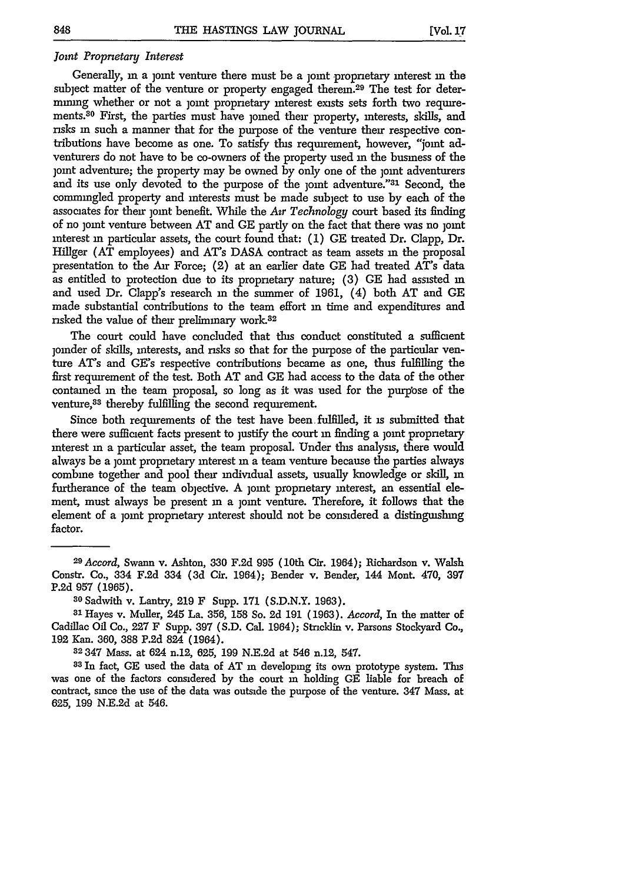#### *Joint Proprietary Interest*

Generally, in a joint venture there must be a joint proprietary interest **in** the subject matter of the venture or property engaged therein.<sup>29</sup> The test for determining whether or not a joint proprietary interest exists sets forth two requirements.<sup>30</sup> First, the parties must have <sub>loned</sub> their property, interests, skills, and risks **in** such a manner that for the purpose of the venture their respective contributions have become as one. To satisfy this requirement, however, "joint adventurers do not have to be co-owners of the property used **in** the business of the joint adventure; the property may be owned by only one of the joint adventurers and its use only devoted to the purpose of the joint adventure."<sup>31</sup> Second, the commingled property and interests must be made subject to use by each of the associates for their joint benefit. While the *Air Technology* court based its finding of no joint venture between AT and GE partly on the fact that there was no joint interest in particular assets, the court found that: (1) GE treated Dr. Clapp, Dr. Hillger (AT employees) and AT's DASA contract as team assets in the proposal presentation to the Air Force; (2) at an earlier date GE had treated AT's data as entitled to protection due to its proprietary nature; (3) GE had assisted **in** and used Dr. Clapp's research **in** the summer of 1961, (4) both AT and GE made substantial contributions to the team effort **in** time and expenditures and risked the value of their preliminary work.<sup>32</sup>

The court could have concluded that this conduct constituted a sufficient joinder of skills, interests, and risks so that for the purpose of the particular venture AT's and GE's respective contributions became as one, thus fulfilling the first requirement of the test. Both AT and GE had access to the data of the other contained in the team proposal, so long as it was used for the purpose of the venture, 33 thereby fulfilling the second requirement.

Since both requirements of the test have been fulfilled, it is submitted that there were sufficient facts present to justify the court **in** finding a joint proprietary interest in a particular asset, the team proposal. Under this analysis, there would always be a joint proprietary interest **in** a team venture because the parties always combine together and pool their individual assets, usually knowledge or skill, **in** furtherance of the team objective. A joint proprietary interest, an essential element, must always be present in a joint venture. Therefore, it follows that the element of a joint proprietary interest should not be considered a distinguishing factor.

*<sup>29</sup>Accord,* Swann v. Ashton, **330 F.2d 995** (10th Cir. 1964); Richardson v. Walsh Constr. Co., 334 F.2d 334 (3d Cir. 1964); Bender v. Bender, 144 Mont. 470, **397** P.2d 957 (1965). **<sup>3</sup> <sup>0</sup>**Sadwith v. Lantry, **219** F Supp. **171** (S.D.N.Y. 1963). **<sup>31</sup>**Hayes v. Muller, 245 La. 356, **158** So. **2d 191** (1963). *Accord,* In the matter of

Cadillac Oil Co., **227** F Supp. **397** (S.D. Cal. 1964); Stricklin v. Parsons Stockyard Co., **192** Kan. 360, **388** P.2d 824 (1964).

**<sup>32 347</sup>** Mass. at 624 n.12, 625, **199** N.E.2d at 546 n.12, 547.

**<sup>33</sup>**In fact, **GE** used the data of AT in developing its own prototype system. This was one of the factors considered **by** the court in holding **GE** liable for breach of contract, since the use of the data was outside the purpose of the venture. 347 Mass. at 625, **199** N.E.2d at 546.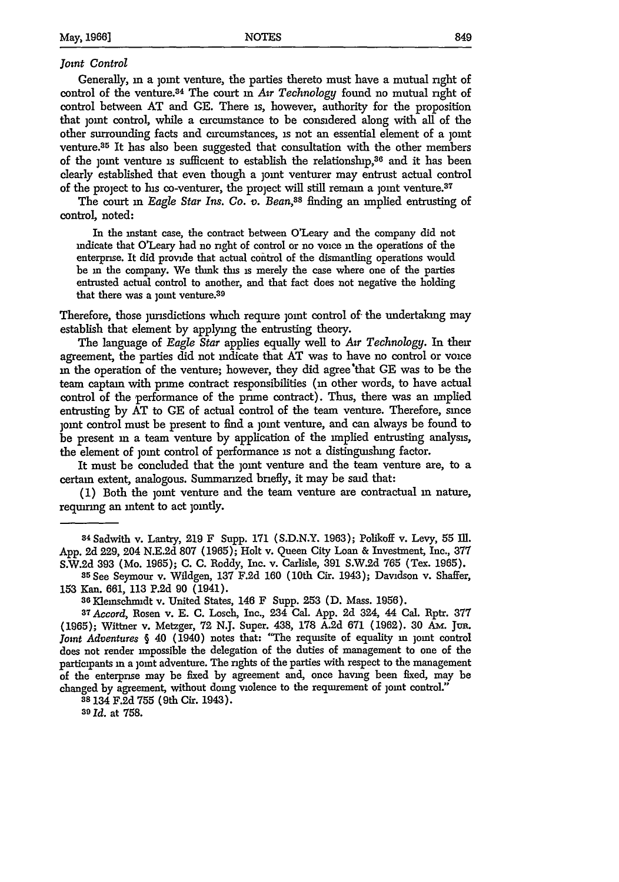#### *Joint Control*

Generally, in a joint venture, the parties thereto must have a mutual right of control of the venture.<sup>34</sup> The court in Air Technology found no mutual right of control between AT and GE. There is, however, authority for the proposition that joint control, while a circumstance to be considered along with all of the other surrounding facts and circumstances, is not an essential element of a joint venture.<sup>35</sup> It has also been suggested that consultation with the other members of the joint venture is sufficient to establish the relationship,<sup>36</sup> and it has been clearly established that even though a joint venturer may entrust actual control of the project to his co-venturer, the project will still remain a joint venture.<sup>37</sup>

The court in *Eagle Star Ins. Co. v. Bean*,<sup>38</sup> finding an implied entrusting of control, noted:

In the instant case, the contract between O'Leary and the company did not indicate that O'Leary had no right of control or no voice **in** the operations of the enterprise. It did provide that actual control of the dismantling operations would be **in** the company. We think this is merely the case where one of the parties entrusted actual control to another, and that fact does not negative the holding that there was a joint venture.<sup>39</sup>

Therefore, those jurisdictions which require joint control of the undertaking may establish that element by applying the entrusting theory.

The language of *Eagle Star* applies equally well to *Air Technology.* In their agreement, the parties did not indicate that AT was to have no control or voice in the operation of the venture; however, they did agree'that **GE** was to be the team captain with prime contract responsibilities **(in** other words, to have actual control of the performance of the prime contract). Thus, there was an implied entrusting by AT to **GE** of actual control of the team venture. Therefore, since joint control must be present to find a joint venture, and can always be found to be present in a team venture by application of the implied entrusting analysis, the element of joint control of performance is not a distinguishing factor.

It must be concluded that the joint venture and the team venture are, to a certain extent, analogous. Summarized briefly, it may be said that:

**(1)** Both the joint venture and the team venture are contractual in nature, requiring an intent to act jointly.

**38** 134 F.2d 755 (9th Cir. 1943).

*39 Id.* at 758.

**<sup>34</sup>**Sadwith v. Lantry, 219 F Supp. 171 (S.D.N.Y. 1963); Polikoff v. Levy, 55 Ill. App. 2d 229, 204 N.E.2d 807 (1965); Holt v. Queen City Loan **&** Investment, Inc., **377**

S.W.2d 393 (Mo. 1965); C. C. Roddy, Inc. v. Carlisle, 391 S.W.2d 765 (Tex. 1965).<br><sup>35</sup> See Seymour v. Wildgen, 137 F.2d 160 (10th Cir. 1943); Davidson v. Shaffer, 153 Kan. 661, 113 P.2d 90 (1941). **<sup>36</sup>**Klemschmidt v. United States, 146 F Supp. 253 **(D.** Mass. 1956).

*<sup>37</sup>Accord,* Rosen v. E. **C.** Losch, Inc., 234 Cal. App. 2d 324, 44 Cal. Rptr. 377 (1965); Wittner v. Metzger, 72 N.J. Super. 438, 178 A.2d 671 (1962). 30 *Am.* Jur. Joint Adventures § 40 (1940) notes that: "The requisite of equality in joint control does not render impossible the delegation of the duties of management to one of the participants in a joint adventure. The rights of the parties with respect to the management of the enterprise may be fixed by agreement and, once having been fixed, may be changed by agreement, without doing violence to the requirement of joint control.'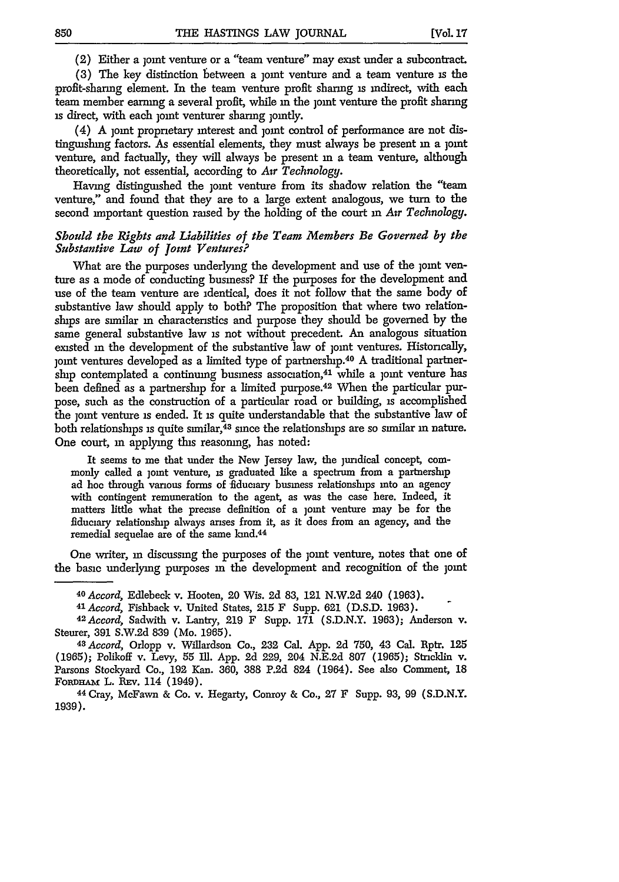(2) Either a joint venture or a "team venture" may exist under a subcontract.

(3) The key distinction between a joint venture and a team venture is the profit-sharing element. In the team venture profit sharing is indirect, with each team member earning a several profit, while in the joint venture the profit sharing is direct, with each joint venturer sharing jointly.

 $(4)$  A joint proprietary interest and joint control of performance are not distinguishing factors. As essential elements, they must always be present in a joint venture, and factually, they will always be present in a team venture, although theoretically, not essential, according to *Air Technology.*

Having distinguished the joint venture from its shadow relation the "team venture," and found that they are to a large extent analogous, we turn to the second important question raised by the holding of the court **in** *Air Technology.*

#### *Should the Rights and Liabilities of the Team Members Be Governed by the Substantive Law of joint Ventures?*

What are the purposes underlying the development and use of the jomt venture as a mode of conducting business? If the purposes for the development and use of the team venture are identical, does it not follow that the same body of substantive law should apply to both? The proposition that where two relationships are similar in characteristics and purpose they should be governed by the same general substantive law is not without precedent. An analogous situation existed in the development of the substantive law of joint ventures. Historically, joint ventures developed as a limited type of partnership.<sup>40</sup> A traditional partnership contemplated a continuing business association, $41$  while a joint venture has been defined as a partnership for a limited purpose.<sup>42</sup> When the particular purpose, such as the construction of a particular road or building, is accomplished the joint venture is ended. It is quite understandable that the substantive law of both relationships is quite similar,<sup>43</sup> since the relationships are so similar in nature. One court, **in** applying this reasoning, has noted:

It seems to me that under the New Jersey law, the juridical concept, commonly called a joint venture, is graduated like a spectrum from a partnership ad hoc through various forms of fiduciary business relationships into an agency with contingent remuneration to the agent, as was the case here. Indeed, it matters little what the precise definition of a joint venture may be for the fiduciary relationship always arises from it, as it does from an agency, and the remedial sequelae are of the same kind.<sup>44</sup>

One writer, in discussing the purposes of the joint venture, notes that one of the basic underlying purposes in the development and recognition of the joint

<sup>&</sup>lt;sup>40</sup> Accord, Edlebeck v. Hooten, 20 Wis. 2d 83, 121 N.W.2d 240 (1963).<br><sup>41</sup> Accord, Fishback v. United States, 215 F Supp. 621 (D.S.D. 1963).<br><sup>42</sup> Accord, Sadwith v. Lantry, 219 F Supp. 171 (S.D.N.Y. 1963); Anderson v. Steurer, **391** S.W.2d 839 (Mo. 1965).

*<sup>43</sup>Accord,* Orlopp v. Willardson Co., **232** Cal. App. **2d** 750, 43 Cal. Rptr. **125** (1965); Polikoff v. Levy, 55 Ill. App. 2d 229, 204 N.E.2d 807 (1965); Stncklin v. Parsons Stockyard Co., **192** Kan. 360, **388** P.2d 824 (1964). See also Comment, 18 **FoRDHAm** L. REv. 114 (1949). 44 Cray, McFawn & Co. v. Hegarty, Conroy & Co., **27** F Supp. 93, **99** (S.D.N.Y.

<sup>1939).</sup>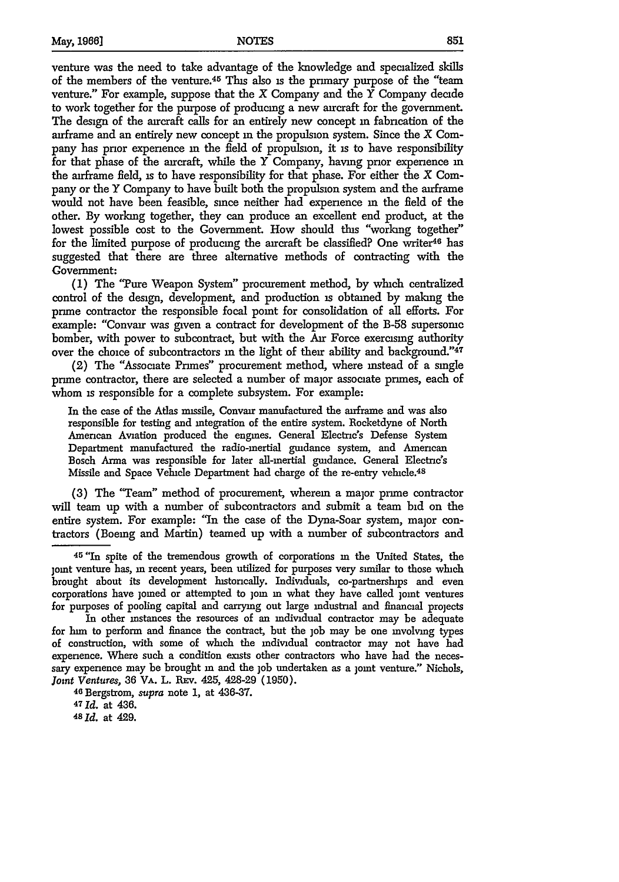venture was the need to take advantage of the knowledge and specialized skills of the members of the venture. $45$  This also is the primary purpose of the "team" venture." For example, suppose that the  $X$  Company and the  $Y$  Company decide to work together for the purpose of producing a new aircraft for the government. The design of the aircraft calls for an entirely new concept **m** fabrication of the airframe and an entirely new concept **m** the propulsion system. Since the X Company has prior experience **in** the field of propulsion, it **is** to have responsibility for that phase of the aircraft, while the Y Company, having prior experience **in** the airframe field, is to have responsibility for that phase. For either the  $X$  Company or the Y Company to have built both the propulsion system and the airframe would not have been feasible, since neither had experience **in** the field of the other. **By** working together, they can produce an excellent end product, at the lowest possible cost to the Government. How should this "working together" for the limited purpose of producing the aircraft be classified? One writer<sup>46</sup> has suggested that there are three alternative methods of contracting with the Government:

**(1)** The 'Ture Weapon System" procurement method, by which centralized control of the design, development, and production **is** obtained by making the prime contractor the responsible focal point for consolidation of all efforts. For example: "Convair was given a contract for development of the B-58 supersomc bomber, with power to subcontract, but with the Air Force exercising authority over the choice of subcontractors **in** the light of their ability and background."<sup>47</sup>

(2) The "Associate Primes" procurement method, where instead of a single prime contractor, there are selected a number of major associate primes, each of whom is responsible for a complete subsystem. For example:

In the case of the Atlas missile, Convair manufactured the anframe and was also responsible for testing and integration of the entire system. Rocketdyne of North American Aviation produced the engines. General Electric's Defense System Department manufactured the radio-mertial guidance system, and American Bosch Anma was responsible for later all-inertial guidance. General Electnc's Missile and Space Vehicle Department had charge of the re-entry vehicle.<sup>48</sup>

**(3)** The "Team" method of procurement, wherein a major prime contractor will team up with a number of subcontractors and submit a team bid on the entire system. For example: "In the case of the Dyna-Soar system, major contractors (Boeing and Martin) teamed up with a number of subcontractors and

<sup>4</sup> <sup>5</sup> "In spite of the tremendous growth of corporations **in** the United States, the joint venture has, in recent years, been utilized for purposes very similar to those which brought about its development historically. Individuals, co-partnerships and even corporations have joined or attempted to join in what they have called joint ventures for purposes of pooling capital and carrying out large industrial and financial projects

In other instances the resources of an individual contractor may be adequate for him to perform and finance the contract, but the **job** may be one involving types of construction, with some of which the individual contractor may not have had experience. Where such a condition exists other contractors who have had the necessary experience may be brought in and the job undertaken as a joint venture." Nichols, *Jont Ventures,* **36** VA. L. REv. 425, 428-29 (1950).

<sup>46</sup>Bergstrom, *supra* note **1,** at 436-37.

<sup>47</sup>*Id.* at 436.

*48* **Id.** at 429.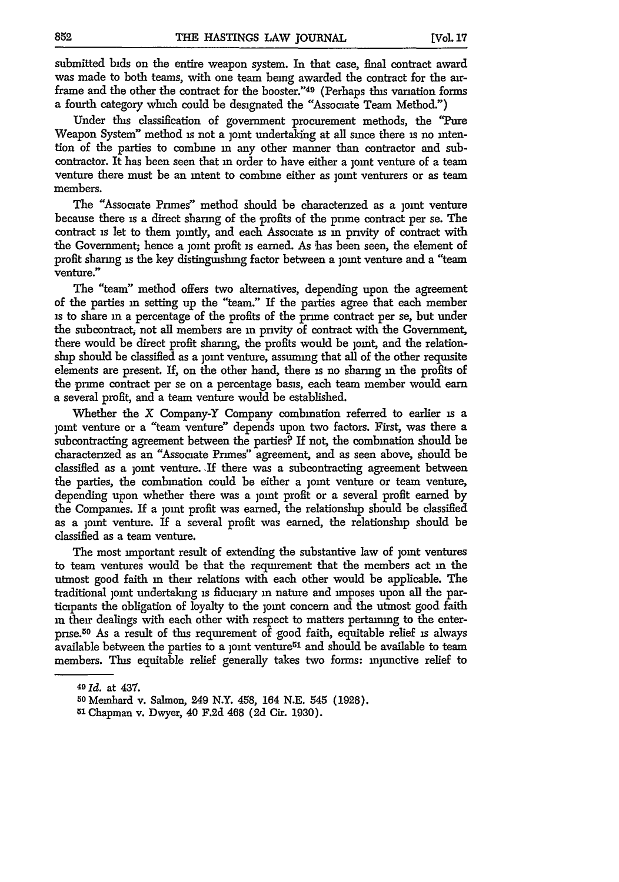submitted bids on the entire weapon system. In that case, final contract award was made to both teams, with one team being awarded the contract for the airframe and the other the contract for the booster."49 (Perhaps **this** variation forms a fourth category which could be designated the "Associate Team Method.")

Under this classification of government procurement methods, the "Pure Weapon System" method is not a joint undertaking at all since there is no intention of the parties to combine m any other manner than contractor and subcontractor. It has been seen that **in** order to have either a joint venture of a team venture there must be an intent to combine either as joint venturers or as team members.

The "Associate Primes" method should be characterized as a joint venture because there is a direct sharing of the profits of the prime contract per se. The contract is let to them jointly, and each Associate is in privity of contract with the Government; hence a joint profit is earned. As has been seen, the element of profit sharing is the key distinguishing factor between a joint venture and a "team venture."

The "team" method offers two alternatives, depending upon the agreement of the parties in setting up the "team." If the parties agree that each member is to share in a percentage of the profits of the prime contract per se, but under the subcontract, not all members are in pnvity of contract with the Government, there would be direct profit sharing, the profits would be joint, and the relationship should be classified as a joint venture, assuming that all of the other requisite elements are present. If, on the other hand, there is no sharing m the profits of the prime contract per se on a percentage basis, each team member would earn a several profit, and a team venture would be established.

Whether the X Company-Y Company combination referred to earlier is a joint venture or a "team venture" depends upon two factors. First, was there a subcontracting agreement between the parties? If not, the combination should be characterized as an "Associate Primes" agreement, and as seen above, should be classified as a joint venture. If there was a subcontracting agreement between the parties, the combination could be either a joint venture or team venture, depending upon whether there was a joint profit or a several profit earned **by** the Companies. If a joint profit was earned, the relationship should be classified as a joint venture. If a several profit was earned, the relationship should **be** classified as a team venture.

The most important result of extending the substantive law of joint ventures to team ventures would be that the requirement that the members act **in** the utmost good faith in their relations with each other would be applicable. The traditional joint undertaking is fiduciary **in** nature and imposes upon all the participants the obligation of loyalty to the joint concern and the utmost good faith in their dealings with each other with respect to matters pertaining to the enterprise.5 0 As a result of this requirement of good faith, equitable relief is always available between the parties to a joint venture<sup> $51$ </sup> and should be available to team members. This equitable relief generally takes two forms: injunctive relief to

**<sup>49</sup> Id.** at 437.

**<sup>50</sup>**Memhard v. Salmon, 249 N.Y. 458, 164 N.E. 545 (1928).

**<sup>51</sup>**Chapman v. Dwyer, 40 F.2d 468 (2d Cir. 1930).